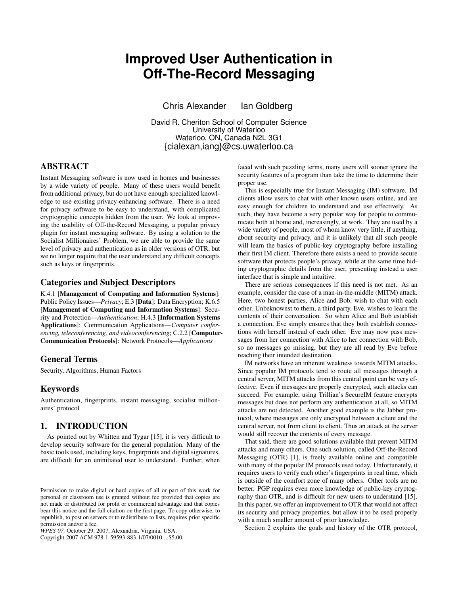# **Improved User Authentication in Off-The-Record Messaging**

Chris Alexander Ian Goldberg

David R. Cheriton School of Computer Science University of Waterloo Waterloo, ON, Canada N2L 3G1 {cialexan,iang}@cs.uwaterloo.ca

# **ABSTRACT**

Instant Messaging software is now used in homes and businesses by a wide variety of people. Many of these users would benefit from additional privacy, but do not have enough specialized knowledge to use existing privacy-enhancing software. There is a need for privacy software to be easy to understand, with complicated cryptographic concepts hidden from the user. We look at improving the usability of Off-the-Record Messaging, a popular privacy plugin for instant messaging software. By using a solution to the Socialist Millionaires' Problem, we are able to provide the same level of privacy and authentication as in older versions of OTR, but we no longer require that the user understand any difficult concepts such as keys or fingerprints.

## **Categories and Subject Descriptors**

K.4.1 [**Management of Computing and Information Systems**]: Public Policy Issues—*Privacy*; E.3 [**Data**]: Data Encryption; K.6.5 [**Management of Computing and Information Systems**]: Security and Protection—*Authentication*; H.4.3 [**Information Systems Applications**]: Communication Applications—*Computer conferencing, teleconferencing, and videoconferencing*; C.2.2 [**Computer-Communication Protocols**]: Network Protocols—*Applications*

#### **General Terms**

Security, Algorithms, Human Factors

#### **Keywords**

Authentication, fingerprints, instant messaging, socialist millionaires' protocol

## **1. INTRODUCTION**

As pointed out by Whitten and Tygar [15], it is very difficult to develop security software for the general population. Many of the basic tools used, including keys, fingerprints and digital signatures, are difficult for an uninitiated user to understand. Further, when

Copyright 2007 ACM 978-1-59593-883-1/07/0010 ...\$5.00.

faced with such puzzling terms, many users will sooner ignore the security features of a program than take the time to determine their proper use.

This is especially true for Instant Messaging (IM) software. IM clients allow users to chat with other known users online, and are easy enough for children to understand and use effectively. As such, they have become a very popular way for people to communicate both at home and, increasingly, at work. They are used by a wide variety of people, most of whom know very little, if anything, about security and privacy, and it is unlikely that all such people will learn the basics of public-key cryptography before installing their first IM client. Therefore there exists a need to provide secure software that protects people's privacy, while at the same time hiding cryptographic details from the user, presenting instead a user interface that is simple and intuitive.

There are serious consequences if this need is not met. As an example, consider the case of a man-in-the-middle (MITM) attack. Here, two honest parties, Alice and Bob, wish to chat with each other. Unbeknownst to them, a third party, Eve, wishes to learn the contents of their conversation. So when Alice and Bob establish a connection, Eve simply ensures that they both establish connections with herself instead of each other. Eve may now pass messages from her connection with Alice to her connection with Bob, so no messages go missing, but they are all read by Eve before reaching their intended destination.

IM networks have an inherent weakness towards MITM attacks. Since popular IM protocols tend to route all messages through a central server, MITM attacks from this central point can be very effective. Even if messages are properly encrypted, such attacks can succeed. For example, using Trillian's SecureIM feature encrypts messages but does not perform any authentication at all, so MITM attacks are not detected. Another good example is the Jabber protocol, where messages are only encrypted between a client and the central server, not from client to client. Thus an attack at the server would still recover the contents of every message.

That said, there are good solutions available that prevent MITM attacks and many others. One such solution, called Off-the-Record Messaging (OTR) [1], is freely available online and compatible with many of the popular IM protocols used today. Unfortunately, it requires users to verify each other's fingerprints in real time, which is outside of the comfort zone of many others. Other tools are no better. PGP requires even more knowledge of public-key cryptography than OTR, and is difficult for new users to understand [15]. In this paper, we offer an improvement to OTR that would not affect its security and privacy properties, but allow it to be used properly with a much smaller amount of prior knowledge.

Section 2 explains the goals and history of the OTR protocol,

Permission to make digital or hard copies of all or part of this work for personal or classroom use is granted without fee provided that copies are not made or distributed for profit or commercial advantage and that copies bear this notice and the full citation on the first page. To copy otherwise, to republish, to post on servers or to redistribute to lists, requires prior specific permission and/or a fee.

*WPES'07,* October 29, 2007, Alexandria, Virginia, USA.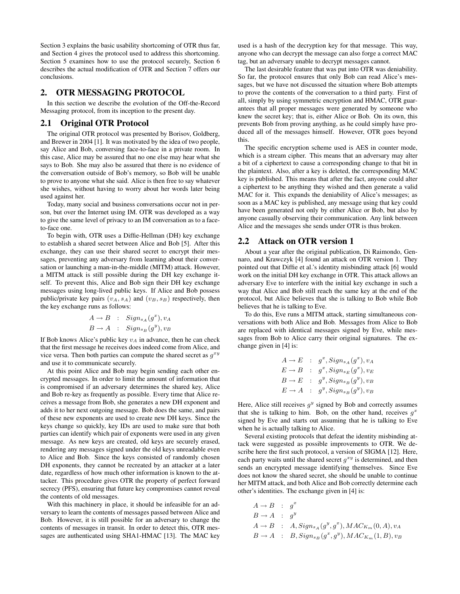Section 3 explains the basic usability shortcoming of OTR thus far, and Section 4 gives the protocol used to address this shortcoming. Section 5 examines how to use the protocol securely, Section 6 describes the actual modification of OTR and Section 7 offers our conclusions.

#### **2. OTR MESSAGING PROTOCOL**

In this section we describe the evolution of the Off-the-Record Messaging protocol, from its inception to the present day.

### **2.1 Original OTR Protocol**

The original OTR protocol was presented by Borisov, Goldberg, and Brewer in 2004 [1]. It was motivated by the idea of two people, say Alice and Bob, conversing face-to-face in a private room. In this case, Alice may be assured that no one else may hear what she says to Bob. She may also be assured that there is no evidence of the conversation outside of Bob's memory, so Bob will be unable to prove to anyone what she said. Alice is then free to say whatever she wishes, without having to worry about her words later being used against her.

Today, many social and business conversations occur not in person, but over the Internet using IM. OTR was developed as a way to give the same level of privacy to an IM conversation as to a faceto-face one.

To begin with, OTR uses a Diffie-Hellman (DH) key exchange to establish a shared secret between Alice and Bob [5]. After this exchange, they can use their shared secret to encrypt their messages, preventing any adversary from learning about their conversation or launching a man-in-the-middle (MITM) attack. However, a MITM attack is still possible during the DH key exchange itself. To prevent this, Alice and Bob sign their DH key exchange messages using long-lived public keys. If Alice and Bob possess public/private key pairs  $(v_A, s_A)$  and  $(v_B, s_B)$  respectively, then the key exchange runs as follows:

$$
A \to B : Sign_{s_A}(g^x), v_A
$$
  

$$
B \to A : Sign_{s_B}(g^y), v_B
$$

If Bob knows Alice's public key  $v_A$  in advance, then he can check that the first message he receives does indeed come from Alice, and vice versa. Then both parties can compute the shared secret as  $g^{xy}$ and use it to communicate securely.

At this point Alice and Bob may begin sending each other encrypted messages. In order to limit the amount of information that is compromised if an adversary determines the shared key, Alice and Bob re-key as frequently as possible. Every time that Alice receives a message from Bob, she generates a new DH exponent and adds it to her next outgoing message. Bob does the same, and pairs of these new exponents are used to create new DH keys. Since the keys change so quickly, key IDs are used to make sure that both parties can identify which pair of exponents were used in any given message. As new keys are created, old keys are securely erased, rendering any messages signed under the old keys unreadable even to Alice and Bob. Since the keys consisted of randomly chosen DH exponents, they cannot be recreated by an attacker at a later date, regardless of how much other information is known to the attacker. This procedure gives OTR the property of perfect forward secrecy (PFS), ensuring that future key compromises cannot reveal the contents of old messages.

With this machinery in place, it should be infeasible for an adversary to learn the contents of messages passed between Alice and Bob. However, it is still possible for an adversary to change the contents of messages in transit. In order to detect this, OTR messages are authenticated using SHA1-HMAC [13]. The MAC key

used is a hash of the decryption key for that message. This way, anyone who can decrypt the message can also forge a correct MAC tag, but an adversary unable to decrypt messages cannot.

The last desirable feature that was put into OTR was deniability. So far, the protocol ensures that only Bob can read Alice's messages, but we have not discussed the situation where Bob attempts to prove the contents of the conversation to a third party. First of all, simply by using symmetric encryption and HMAC, OTR guarantees that all proper messages were generated by someone who knew the secret key; that is, either Alice or Bob. On its own, this prevents Bob from proving anything, as he could simply have produced all of the messages himself. However, OTR goes beyond this.

The specific encryption scheme used is AES in counter mode, which is a stream cipher. This means that an adversary may alter a bit of a ciphertext to cause a corresponding change to that bit in the plaintext. Also, after a key is deleted, the corresponding MAC key is published. This means that after the fact, anyone could alter a ciphertext to be anything they wished and then generate a valid MAC for it. This expands the deniability of Alice's messages; as soon as a MAC key is published, any message using that key could have been generated not only by either Alice or Bob, but also by anyone casually observing their communication. Any link between Alice and the messages she sends under OTR is thus broken.

#### **2.2 Attack on OTR version 1**

About a year after the original publication, Di Raimondo, Gennaro, and Krawczyk [4] found an attack on OTR version 1. They pointed out that Diffie et al.'s identity misbinding attack [6] would work on the initial DH key exchange in OTR. This attack allows an adversary Eve to interfere with the initial key exchange in such a way that Alice and Bob still reach the same key at the end of the protocol, but Alice believes that she is talking to Bob while Bob believes that he is talking to Eve.

To do this, Eve runs a MITM attack, starting simultaneous conversations with both Alice and Bob. Messages from Alice to Bob are replaced with identical messages signed by Eve, while messages from Bob to Alice carry their original signatures. The exchange given in [4] is:

$$
\begin{array}{rcl} A\rightarrow E&:&g^x, Sign_{s_A}(g^x),v_A\\ E\rightarrow B&:&g^x, Sign_{s_E}(g^x),v_E\\ B\rightarrow E&:&g^y, Sign_{s_B}(g^y),v_B\\ E\rightarrow A&:&g^y, Sign_{s_B}(g^y),v_B \end{array}
$$

Here, Alice still receives  $g<sup>y</sup>$  signed by Bob and correctly assumes that she is talking to him. Bob, on the other hand, receives  $g^x$ signed by Eve and starts out assuming that he is talking to Eve when he is actually talking to Alice.

Several existing protocols that defeat the identity misbinding attack were suggested as possible improvements to OTR. We describe here the first such protocol, a version of SIGMA [12]. Here, each party waits until the shared secret  $g^{xy}$  is determined, and then sends an encrypted message identifying themselves. Since Eve does not know the shared secret, she should be unable to continue her MITM attack, and both Alice and Bob correctly determine each other's identities. The exchange given in [4] is:

$$
A \rightarrow B : g^x
$$
  
\n
$$
B \rightarrow A : g^y
$$
  
\n
$$
A \rightarrow B : A, Sign_{s_A}(g^y, g^x), MAC_{K_m}(0, A), v_A
$$
  
\n
$$
B \rightarrow A : B, Sign_{s_B}(g^x, g^y), MAC_{K_m}(1, B), v_B
$$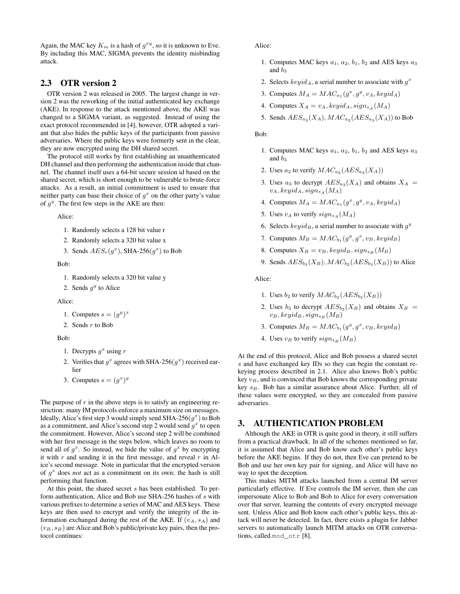Again, the MAC key  $K_m$  is a hash of  $g^{xy}$ , so it is unknown to Eve. By including this MAC, SIGMA prevents the identity misbinding attack.

#### **2.3 OTR version 2**

OTR version 2 was released in 2005. The largest change in version 2 was the reworking of the initial authenticated key exchange (AKE). In response to the attack mentioned above, the AKE was changed to a SIGMA variant, as suggested. Instead of using the exact protocol recommended in [4], however, OTR adopted a variant that also hides the public keys of the participants from passive adversaries. Where the public keys were formerly sent in the clear, they are now encrypted using the DH shared secret.

The protocol still works by first establishing an unauthenticated DH channel and then performing the authentication inside that channel. The channel itself uses a 64-bit secure session id based on the shared secret, which is short enough to be vulnerable to brute-force attacks. As a result, an initial commitment is used to ensure that neither party can base their choice of  $g^x$  on the other party's value of  $g^y$ . The first few steps in the AKE are then:

Alice:

- 1. Randomly selects a 128 bit value r
- 2. Randomly selects a 320 bit value x
- 3. Sends  $AES_r(g^x)$ , SHA-256 $(g^x)$  to Bob

Bob:

- 1. Randomly selects a 320 bit value y
- 2. Sends  $g^y$  to Alice

Alice:

- 1. Computes  $s = (g^y)^x$
- 2. Sends r to Bob

Bob:

- 1. Decrypts  $g^x$  using r
- 2. Verifies that  $g^x$  agrees with SHA-256( $g^x$ ) received earlier
- 3. Computes  $s = (g^x)^y$

The purpose of  $r$  in the above steps is to satisfy an engineering restriction: many IM protocols enforce a maximum size on messages. Ideally, Alice's first step 3 would simply send SHA-256 $(g<sup>x</sup>)$  to Bob as a commitment, and Alice's second step 2 would send  $g^x$  to open the commitment. However, Alice's second step 2 will be combined with her first message in the steps below, which leaves no room to send all of  $g^x$ . So instead, we hide the value of  $g^x$  by encrypting it with  $r$  and sending it in the first message, and reveal  $r$  in Alice's second message. Note in particular that the encrypted version of  $g^x$  does *not* act as a commitment on its own; the hash is still performing that function.

At this point, the shared secret s has been established. To perform authentication, Alice and Bob use SHA-256 hashes of s with various prefixes to determine a series of MAC and AES keys. These keys are then used to encrypt and verify the integrity of the information exchanged during the rest of the AKE. If  $(v_A, s_A)$  and  $(v_B, s_B)$  are Alice and Bob's public/private key pairs, then the protocol continues:

Alice:

- 1. Computes MAC keys  $a_1$ ,  $a_2$ ,  $b_1$ ,  $b_2$  and AES keys  $a_3$ and  $b_3$
- 2. Selects  $keyid_A$ , a serial number to associate with  $g^x$
- 3. Computes  $M_A = MAC_{a_1}(g^x, g^y, v_A, keyid_A)$
- 4. Computes  $X_A = v_A$ ,  $keyid_A$ ,  $sign_{s_A}(M_A)$
- 5. Sends  $AES_{a_3}(X_A)$ ,  $MAC_{a_2}(AES_{a_3}(X_A))$  to Bob

#### Bob:

- 1. Computes MAC keys  $a_1$ ,  $a_2$ ,  $b_1$ ,  $b_2$  and AES keys  $a_3$ and  $b_3$
- 2. Uses  $a_2$  to verify  $MAC_{a_2}(AES_{a_3}(X_A))$
- 3. Uses  $a_3$  to decrypt  $AES_{a_3}(X_A)$  and obtains  $X_A =$  $v_A$ , keyid<sub>A</sub>, sign<sub>s</sub><sub>A</sub> (M<sub>A</sub>)
- 4. Computes  $M_A = MAC_{a_1}(g^x, g^y, v_A, keyid_A)$
- 5. Uses  $v_A$  to verify  $sign_{s_A}(M_A)$
- 6. Selects  $keyid_B$ , a serial number to associate with  $g^y$
- 7. Computes  $M_B = MAC_{b_1}(g^y, g^x, v_B, keyid_B)$
- 8. Computes  $X_B = v_B$ ,  $keyid_B$ ,  $sign_{s_B}(M_B)$
- 9. Sends  $AES_{b_3}(X_B)$ ,  $MAC_{b_2}(AES_{b_3}(X_B))$  to Alice

Alice:

- 1. Uses  $b_2$  to verify  $MAC_{b_2}(AES_{b_3}(X_B))$
- 2. Uses  $b_3$  to decrypt  $AES_{b_3}(X_B)$  and obtains  $X_B =$  $v_B$ , keyid<sub>B</sub>, sign<sub>sB</sub> (M<sub>B</sub>)
- 3. Computes  $M_B = MAC_{b_1}(g^y, g^x, v_B, keyid_B)$
- 4. Uses  $v_B$  to verify  $sign_{SB}(M_B)$

At the end of this protocol, Alice and Bob possess a shared secret s and have exchanged key IDs so they can begin the constant rekeying process described in 2.1. Alice also knows Bob's public key  $v_B$ , and is convinced that Bob knows the corresponding private key  $s_B$ . Bob has a similar assurance about Alice. Further, all of these values were encrypted, so they are concealed from passive adversaries.

#### **3. AUTHENTICATION PROBLEM**

Although the AKE in OTR is quite good in theory, it still suffers from a practical drawback. In all of the schemes mentioned so far, it is assumed that Alice and Bob know each other's public keys before the AKE begins. If they do not, then Eve can pretend to be Bob and use her own key pair for signing, and Alice will have no way to spot the deception.

This makes MITM attacks launched from a central IM server particularly effective. If Eve controls the IM server, then she can impersonate Alice to Bob and Bob to Alice for every conversation over that server, learning the contents of every encrypted message sent. Unless Alice and Bob know each other's public keys, this attack will never be detected. In fact, there exists a plugin for Jabber servers to automatically launch MITM attacks on OTR conversations, called mod\_otr [8].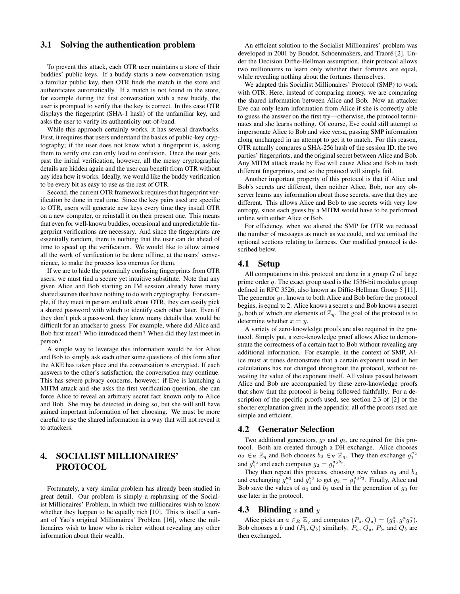## **3.1 Solving the authentication problem**

To prevent this attack, each OTR user maintains a store of their buddies' public keys. If a buddy starts a new conversation using a familiar public key, then OTR finds the match in the store and authenticates automatically. If a match is not found in the store, for example during the first conversation with a new buddy, the user is prompted to verify that the key is correct. In this case OTR displays the fingerprint (SHA-1 hash) of the unfamiliar key, and asks the user to verify its authenticity out-of-band.

While this approach certainly works, it has several drawbacks. First, it requires that users understand the basics of public-key cryptography; if the user does not know what a fingerprint is, asking them to verify one can only lead to confusion. Once the user gets past the initial verification, however, all the messy cryptographic details are hidden again and the user can benefit from OTR without any idea how it works. Ideally, we would like the buddy verification to be every bit as easy to use as the rest of OTR.

Second, the current OTR framework requires that fingerprint verification be done in real time. Since the key pairs used are specific to OTR, users will generate new keys every time they install OTR on a new computer, or reinstall it on their present one. This means that even for well-known buddies, occasional and unpredictable fingerprint verifications are necessary. And since the fingerprints are essentially random, there is nothing that the user can do ahead of time to speed up the verification. We would like to allow almost all the work of verification to be done offline, at the users' convenience, to make the process less onerous for them.

If we are to hide the potentially confusing fingerprints from OTR users, we must find a secure yet intuitive substitute. Note that any given Alice and Bob starting an IM session already have many shared secrets that have nothing to do with cryptography. For example, if they meet in person and talk about OTR, they can easily pick a shared password with which to identify each other later. Even if they don't pick a password, they know many details that would be difficult for an attacker to guess. For example, where did Alice and Bob first meet? Who introduced them? When did they last meet in person?

A simple way to leverage this information would be for Alice and Bob to simply ask each other some questions of this form after the AKE has taken place and the conversation is encrypted. If each answers to the other's satisfaction, the conversation may continue. This has severe privacy concerns, however: if Eve is launching a MITM attack and she asks the first verification question, she can force Alice to reveal an arbitrary secret fact known only to Alice and Bob. She may be detected in doing so, but she will still have gained important information of her choosing. We must be more careful to use the shared information in a way that will not reveal it to attackers.

# **4. SOCIALIST MILLIONAIRES' PROTOCOL**

Fortunately, a very similar problem has already been studied in great detail. Our problem is simply a rephrasing of the Socialist Millionaires' Problem, in which two millionaires wish to know whether they happen to be equally rich [10]. This is itself a variant of Yao's original Millionaires' Problem [16], where the millionaires wish to know who is richer without revealing any other information about their wealth.

An efficient solution to the Socialist Millionaires' problem was developed in 2001 by Boudot, Schoenmakers, and Traoré [2]. Under the Decision Diffie-Hellman assumption, their protocol allows two millionaires to learn only whether their fortunes are equal, while revealing nothing about the fortunes themselves.

We adapted this Socialist Millionaires' Protocol (SMP) to work with OTR. Here, instead of comparing money, we are comparing the shared information between Alice and Bob. Now an attacker Eve can only learn information from Alice if she is correctly able to guess the answer on the first try—otherwise, the protocol terminates and she learns nothing. Of course, Eve could still attempt to impersonate Alice to Bob and vice versa, passing SMP information along unchanged in an attempt to get it to match. For this reason, OTR actually compares a SHA-256 hash of the session ID, the two parties' fingerprints, and the original secret between Alice and Bob. Any MITM attack made by Eve will cause Alice and Bob to hash different fingerprints, and so the protocol will simply fail.

Another important property of this protocol is that if Alice and Bob's secrets are different, then neither Alice, Bob, nor any observer learns any information about those secrets, save that they are different. This allows Alice and Bob to use secrets with very low entropy, since each guess by a MITM would have to be performed online with either Alice or Bob.

For efficiency, when we altered the SMP for OTR we reduced the number of messages as much as we could, and we omitted the optional sections relating to fairness. Our modified protocol is described below.

#### **4.1 Setup**

All computations in this protocol are done in a group  $G$  of large prime order  $q$ . The exact group used is the 1536-bit modulus group defined in RFC 3526, also known as Diffie-Hellman Group 5 [11]. The generator  $g_1$ , known to both Alice and Bob before the protocol begins, is equal to 2. Alice knows a secret  $x$  and Bob knows a secret y, both of which are elements of  $\mathbb{Z}_q$ . The goal of the protocol is to determine whether  $x = y$ .

A variety of zero-knowledge proofs are also required in the protocol. Simply put, a zero-knowledge proof allows Alice to demonstrate the correctness of a certain fact to Bob without revealing any additional information. For example, in the context of SMP, Alice must at times demonstrate that a certain exponent used in her calculations has not changed throughout the protocol, without revealing the value of the exponent itself. All values passed between Alice and Bob are accompanied by these zero-knowledge proofs that show that the protocol is being followed faithfully. For a description of the specific proofs used, see section 2.3 of [2] or the shorter explanation given in the appendix; all of the proofs used are simple and efficient.

#### **4.2 Generator Selection**

Two additional generators,  $g_2$  and  $g_3$ , are required for this protocol. Both are created through a DH exchange. Alice chooses  $a_2 \in_R \mathbb{Z}_q$  and Bob chooses  $b_2 \in_R \mathbb{Z}_q$ . They then exchange  $g_1^{a_2}$ and  $g_1^{b_2}$  and each computes  $g_2 = g_1^{a_2b_2}$ .

They then repeat this process, choosing new values  $a_3$  and  $b_3$ and exchanging  $g_1^{a_3}$  and  $g_1^{b_3}$  to get  $g_3 = g_1^{a_3b_3}$ . Finally, Alice and Bob save the values of  $a_3$  and  $b_3$  used in the generation of  $g_3$  for use later in the protocol.

#### **4.3** Blinding x and y

Alice picks an  $a \in_R \mathbb{Z}_q$  and computes  $(P_a, Q_a) = (g_3^a, g_1^a g_2^x)$ . Bob chooses a b and  $(P_b, Q_b)$  similarly.  $P_a, Q_a, P_b$ , and  $Q_b$  are then exchanged.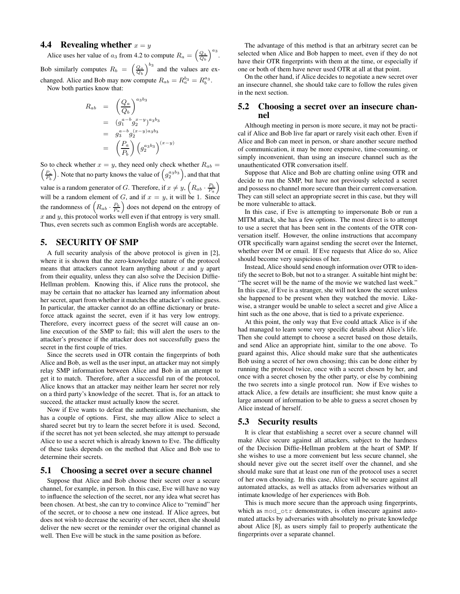## **4.4** Revealing whether  $x = y$

Alice uses her value of  $a_3$  from 4.2 to compute  $R_a = \left(\frac{Q_a}{Q_b}\right)^{a_3}$ . Bob similarly computes  $R_b = \left(\frac{Q_a}{Q_b}\right)^{b_3}$  and the values are exchanged. Alice and Bob may now compute  $R_{ab} = R_a^{b_3} = R_b^{a_3}$ .

Now both parties know that:

$$
R_{ab} = \left(\frac{Q_a}{Q_b}\right)^{a_3b_3}
$$
  
=  $(g_1^{a-b}g_2^{x-y})^{a_3b_3}$   
=  $g_3^{a-b}g_2^{(x-y)a_3b_3}$   
=  $\left(\frac{P_a}{P_b}\right) \left(g_2^{a_3b_3}\right)^{(x-y)}$ 

So to check whether  $x = y$ , they need only check whether  $R_{ab} =$  $\left(\frac{P_a}{P_b}\right)$ . Note that no party knows the value of  $\left(g_2^{a_3b_3}\right)$ , and that that value is a random generator of G. Therefore, if  $x \neq y$ ,  $\left(R_{ab} \cdot \frac{P_b}{P_a}\right)$ will be a random element of  $G$ , and if  $x = y$ , it will be 1. Since the randomness of  $\left(R_{ab} \cdot \frac{P_b}{P_a}\right)$  does not depend on the entropy of  $x$  and  $y$ , this protocol works well even if that entropy is very small. Thus, even secrets such as common English words are acceptable.

#### **5. SECURITY OF SMP**

A full security analysis of the above protocol is given in [2], where it is shown that the zero-knowledge nature of the protocol means that attackers cannot learn anything about  $x$  and  $y$  apart from their equality, unless they can also solve the Decision Diffie-Hellman problem. Knowing this, if Alice runs the protocol, she may be certain that no attacker has learned any information about her secret, apart from whether it matches the attacker's online guess. In particular, the attacker cannot do an offline dictionary or bruteforce attack against the secret, even if it has very low entropy. Therefore, every incorrect guess of the secret will cause an online execution of the SMP to fail; this will alert the users to the attacker's presence if the attacker does not successfully guess the secret in the first couple of tries.

Since the secrets used in OTR contain the fingerprints of both Alice and Bob, as well as the user input, an attacker may not simply relay SMP information between Alice and Bob in an attempt to get it to match. Therefore, after a successful run of the protocol, Alice knows that an attacker may neither learn her secret nor rely on a third party's knowledge of the secret. That is, for an attack to succeed, the attacker must actually know the secret.

Now if Eve wants to defeat the authentication mechanism, she has a couple of options. First, she may allow Alice to select a shared secret but try to learn the secret before it is used. Second, if the secret has not yet been selected, she may attempt to persuade Alice to use a secret which is already known to Eve. The difficulty of these tasks depends on the method that Alice and Bob use to determine their secrets.

#### **5.1 Choosing a secret over a secure channel**

Suppose that Alice and Bob choose their secret over a secure channel, for example, in person. In this case, Eve will have no way to influence the selection of the secret, nor any idea what secret has been chosen. At best, she can try to convince Alice to "remind" her of the secret, or to choose a new one instead. If Alice agrees, but does not wish to decrease the security of her secret, then she should deliver the new secret or the reminder over the original channel as well. Then Eve will be stuck in the same position as before.

The advantage of this method is that an arbitrary secret can be selected when Alice and Bob happen to meet, even if they do not have their OTR fingerprints with them at the time, or especially if one or both of them have never used OTR at all at that point.

On the other hand, if Alice decides to negotiate a new secret over an insecure channel, she should take care to follow the rules given in the next section.

#### **5.2 Choosing a secret over an insecure channel**

Although meeting in person is more secure, it may not be practical if Alice and Bob live far apart or rarely visit each other. Even if Alice and Bob can meet in person, or share another secure method of communication, it may be more expensive, time-consuming, or simply inconvenient, than using an insecure channel such as the unauthenticated OTR conversation itself.

Suppose that Alice and Bob are chatting online using OTR and decide to run the SMP, but have not previously selected a secret and possess no channel more secure than their current conversation. They can still select an appropriate secret in this case, but they will be more vulnerable to attack.

In this case, if Eve is attempting to impersonate Bob or run a MITM attack, she has a few options. The most direct is to attempt to use a secret that has been sent in the contents of the OTR conversation itself. However, the online instructions that accompany OTR specifically warn against sending the secret over the Internet, whether over IM or email. If Eve requests that Alice do so, Alice should become very suspicious of her.

Instead, Alice should send enough information over OTR to identify the secret to Bob, but not to a stranger. A suitable hint might be: "The secret will be the name of the movie we watched last week." In this case, if Eve is a stranger, she will not know the secret unless she happened to be present when they watched the movie. Likewise, a stranger would be unable to select a secret and give Alice a hint such as the one above, that is tied to a private experience.

At this point, the only way that Eve could attack Alice is if she had managed to learn some very specific details about Alice's life. Then she could attempt to choose a secret based on those details, and send Alice an appropriate hint, similar to the one above. To guard against this, Alice should make sure that she authenticates Bob using a secret of her own choosing; this can be done either by running the protocol twice, once with a secret chosen by her, and once with a secret chosen by the other party, or else by combining the two secrets into a single protocol run. Now if Eve wishes to attack Alice, a few details are insufficient; she must know quite a large amount of information to be able to guess a secret chosen by Alice instead of herself.

#### **5.3 Security results**

It is clear that establishing a secret over a secure channel will make Alice secure against all attackers, subject to the hardness of the Decision Diffie-Hellman problem at the heart of SMP. If she wishes to use a more convenient but less secure channel, she should never give out the secret itself over the channel, and she should make sure that at least one run of the protocol uses a secret of her own choosing. In this case, Alice will be secure against all automated attacks, as well as attacks from adversaries without an intimate knowledge of her experiences with Bob.

This is much more secure than the approach using fingerprints, which as mod\_otr demonstrates, is often insecure against automated attacks by adversaries with absolutely no private knowledge about Alice [8], as users simply fail to properly authenticate the fingerprints over a separate channel.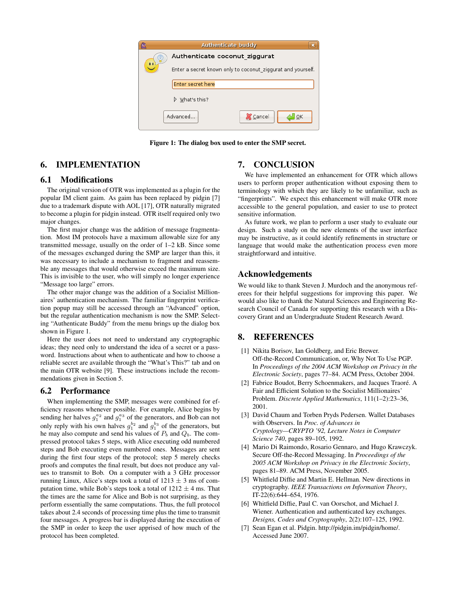

**Figure 1: The dialog box used to enter the SMP secret.**

# **6. IMPLEMENTATION**

#### **6.1 Modifications**

The original version of OTR was implemented as a plugin for the popular IM client gaim. As gaim has been replaced by pidgin [7] due to a trademark dispute with AOL [17], OTR naturally migrated to become a plugin for pidgin instead. OTR itself required only two major changes.

The first major change was the addition of message fragmentation. Most IM protocols have a maximum allowable size for any transmitted message, usually on the order of 1–2 kB. Since some of the messages exchanged during the SMP are larger than this, it was necessary to include a mechanism to fragment and reassemble any messages that would otherwise exceed the maximum size. This is invisible to the user, who will simply no longer experience "Message too large" errors.

The other major change was the addition of a Socialist Millionaires' authentication mechanism. The familiar fingerprint verification popup may still be accessed through an "Advanced" option, but the regular authentication mechanism is now the SMP. Selecting "Authenticate Buddy" from the menu brings up the dialog box shown in Figure 1.

Here the user does not need to understand any cryptographic ideas; they need only to understand the idea of a secret or a password. Instructions about when to authenticate and how to choose a reliable secret are available through the "What's This?" tab and on the main OTR website [9]. These instructions include the recommendations given in Section 5.

## **6.2 Performance**

When implementing the SMP, messages were combined for efficiency reasons whenever possible. For example, Alice begins by sending her halves  $g_1^{a_2}$  and  $g_1^{a_3}$  of the generators, and Bob can not only reply with his own halves  $g_1^{b_2}$  and  $g_1^{b_3}$  of the generators, but he may also compute and send his values of  $P_b$  and  $Q_b$ . The compressed protocol takes 5 steps, with Alice executing odd numbered steps and Bob executing even numbered ones. Messages are sent during the first four steps of the protocol; step 5 merely checks proofs and computes the final result, but does not produce any values to transmit to Bob. On a computer with a 3 GHz processor running Linux, Alice's steps took a total of  $1213 \pm 3$  ms of computation time, while Bob's steps took a total of  $1212 \pm 4$  ms. That the times are the same for Alice and Bob is not surprising, as they perform essentially the same computations. Thus, the full protocol takes about 2.4 seconds of processing time plus the time to transmit four messages. A progress bar is displayed during the execution of the SMP in order to keep the user apprised of how much of the protocol has been completed.

## **7. CONCLUSION**

We have implemented an enhancement for OTR which allows users to perform proper authentication without exposing them to terminology with which they are likely to be unfamiliar, such as "fingerprints". We expect this enhancement will make OTR more accessible to the general population, and easier to use to protect sensitive information.

As future work, we plan to perform a user study to evaluate our design. Such a study on the new elements of the user interface may be instructive, as it could identify refinements in structure or language that would make the authentication process even more straightforward and intuitive.

#### **Acknowledgements**

We would like to thank Steven J. Murdoch and the anonymous referees for their helpful suggestions for improving this paper. We would also like to thank the Natural Sciences and Engineering Research Council of Canada for supporting this research with a Discovery Grant and an Undergraduate Student Research Award.

## **8. REFERENCES**

- [1] Nikita Borisov, Ian Goldberg, and Eric Brewer. Off-the-Record Communication, or, Why Not To Use PGP. In *Proceedings of the 2004 ACM Workshop on Privacy in the Electronic Society*, pages 77–84. ACM Press, October 2004.
- [2] Fabrice Boudot, Berry Schoenmakers, and Jacques Traoré. A Fair and Efficient Solution to the Socialist Millionaires' Problem. *Discrete Applied Mathematics*, 111(1–2):23–36, 2001.
- [3] David Chaum and Torben Pryds Pedersen. Wallet Databases with Observers. In *Proc. of Advances in Cryptology—CRYPTO '92, Lecture Notes in Computer Science 740*, pages 89–105, 1992.
- [4] Mario Di Raimondo, Rosario Gennaro, and Hugo Krawczyk. Secure Off-the-Record Messaging. In *Proceedings of the 2005 ACM Workshop on Privacy in the Electronic Society*, pages 81–89. ACM Press, November 2005.
- [5] Whitfield Diffie and Martin E. Hellman. New directions in cryptography. *IEEE Transactions on Information Theory*, IT-22(6):644–654, 1976.
- [6] Whitfield Diffie, Paul C. van Oorschot, and Michael J. Wiener. Authentication and authenticated key exchanges. *Designs, Codes and Cryptography*, 2(2):107–125, 1992.
- [7] Sean Egan et al. Pidgin. http://pidgin.im/pidgin/home/. Accessed June 2007.